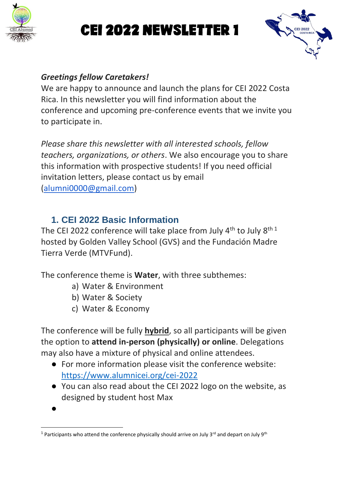

# CEI 2022 Newsletter 1



#### *Greetings fellow Caretakers!*

We are happy to announce and launch the plans for CEI 2022 Costa Rica. In this newsletter you will find information about the conference and upcoming pre-conference events that we invite you to participate in.

*Please share this newsletter with all interested schools, fellow teachers, organizations, or others*. We also encourage you to share this information with prospective students! If you need official invitation letters, please contact us by email [\(alumni0000@gmail.com\)](mailto:alumni0000@gmail.com)

### **1. CEI 2022 Basic Information**

The CEI 2022 conference will take place from July  $4<sup>th</sup>$  to July  $8<sup>th 1</sup>$ hosted by Golden Valley School (GVS) and the Fundación Madre Tierra Verde (MTVFund).

The conference theme is **Water**, with three subthemes:

- a) Water & Environment
- b) Water & Society
- c) Water & Economy

The conference will be fully **hybrid**, so all participants will be given the option to **attend in-person (physically) or online**. Delegations may also have a mixture of physical and online attendees.

- For more information please visit the conference website: <https://www.alumnicei.org/cei-2022>
- You can also read about the CEI 2022 logo on the website, as designed by student host Max

 $\bullet$ 

<sup>&</sup>lt;sup>1</sup> Participants who attend the conference physically should arrive on July 3<sup>rd</sup> and depart on July 9<sup>th</sup>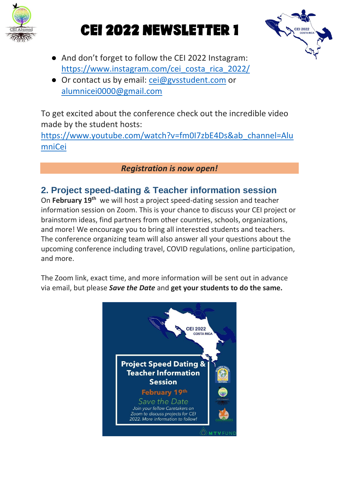

## CEI 2022 NEWSLETTER 1



- And don't forget to follow the CEI 2022 Instagram: [https://www.instagram.com/cei\\_costa\\_rica\\_2022/](https://www.instagram.com/cei_costa_rica_2022/)
- Or contact us by email: [cei@gvsstudent.com](mailto:cei@gvsstudent.com) or [alumnicei0000@gmail.com](mailto:alumnicei0000@gmail.com)

To get excited about the conference check out the incredible video made by the student hosts:

[https://www.youtube.com/watch?v=fm0I7zbE4Ds&ab\\_channel=Alu](https://www.youtube.com/watch?v=fm0I7zbE4Ds&ab_channel=AlumniCei) [mniCei](https://www.youtube.com/watch?v=fm0I7zbE4Ds&ab_channel=AlumniCei)

#### *Registration is now open!*

### **2. Project speed-dating & Teacher information session**

On February 19<sup>th</sup> we will host a project speed-dating session and teacher information session on Zoom. This is your chance to discuss your CEI project or brainstorm ideas, find partners from other countries, schools, organizations, and more! We encourage you to bring all interested students and teachers. The conference organizing team will also answer all your questions about the upcoming conference including travel, COVID regulations, online participation, and more.

The Zoom link, exact time, and more information will be sent out in advance via email, but please *Save the Date* and **get your students to do the same.**

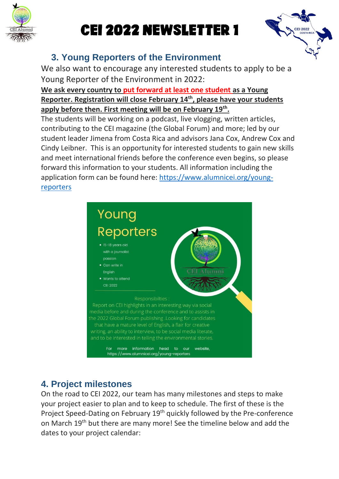

# CEI 2022 Newsletter 1



## **3. Young Reporters of the Environment**

We also want to encourage any interested students to apply to be a Young Reporter of the Environment in 2022:

#### **We ask every country to put forward at least one student as a Young Reporter. Registration will close February 14th, please have your students apply before then. First meeting will be on February 19th .**

The students will be working on a podcast, live vlogging, written articles, contributing to the CEI magazine (the Global Forum) and more; led by our student leader Jimena from Costa Rica and advisors Jana Cox, Andrew Cox and Cindy Leibner. This is an opportunity for interested students to gain new skills and meet international friends before the conference even begins, so please forward this information to your students. All information including the application form can be found here: [https://www.alumnicei.org/young](https://www.alumnicei.org/young-reporters)[reporters](https://www.alumnicei.org/young-reporters)



## **4. Project milestones**

On the road to CEI 2022, our team has many milestones and steps to make your project easier to plan and to keep to schedule. The first of these is the Project Speed-Dating on February 19<sup>th</sup> quickly followed by the Pre-conference on March 19th but there are many more! See the timeline below and add the dates to your project calendar: